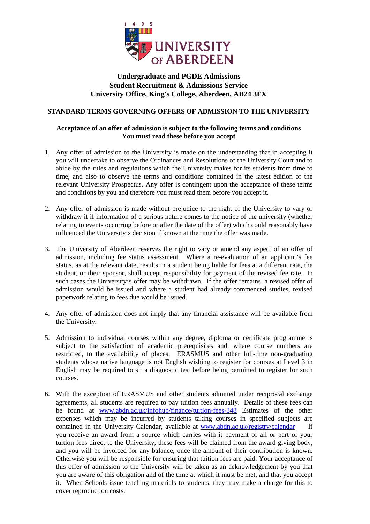

# **Undergraduate and PGDE Admissions Student Recruitment & Admissions Service University Office, King's College, Aberdeen, AB24 3FX**

## **STANDARD TERMS GOVERNING OFFERS OF ADMISSION TO THE UNIVERSITY**

## **Acceptance of an offer of admission is subject to the following terms and conditions You must read these before you accept**

- 1. Any offer of admission to the University is made on the understanding that in accepting it you will undertake to observe the Ordinances and Resolutions of the University Court and to abide by the rules and regulations which the University makes for its students from time to time, and also to observe the terms and conditions contained in the latest edition of the relevant University Prospectus. Any offer is contingent upon the acceptance of these terms and conditions by you and therefore you must read them before you accept it.
- 2. Any offer of admission is made without prejudice to the right of the University to vary or withdraw it if information of a serious nature comes to the notice of the university (whether relating to events occurring before or after the date of the offer) which could reasonably have influenced the University's decision if known at the time the offer was made.
- 3. The University of Aberdeen reserves the right to vary or amend any aspect of an offer of admission, including fee status assessment. Where a re-evaluation of an applicant's fee status, as at the relevant date, results in a student being liable for fees at a different rate, the student, or their sponsor, shall accept responsibility for payment of the revised fee rate. In such cases the University's offer may be withdrawn. If the offer remains, a revised offer of admission would be issued and where a student had already commenced studies, revised paperwork relating to fees due would be issued.
- 4. Any offer of admission does not imply that any financial assistance will be available from the University.
- 5. Admission to individual courses within any degree, diploma or certificate programme is subject to the satisfaction of academic prerequisites and, where course numbers are restricted, to the availability of places. ERASMUS and other full-time non-graduating students whose native language is not English wishing to register for courses at Level 3 in English may be required to sit a diagnostic test before being permitted to register for such courses.
- 6. With the exception of ERASMUS and other students admitted under reciprocal exchange agreements, all students are required to pay tuition fees annually. Details of these fees can be found at [www.abdn.ac.uk/infohub/finance/tuition-fees-348](http://www.abdn.ac.uk/infohub/finance/tuition-fees-348) Estimates of the other expenses which may be incurred by students taking courses in specified subjects are contained in the University Calendar, available at www.abdn.ac.uk/registry/calendar you receive an award from a source which carries with it payment of all or part of your tuition fees direct to the University, these fees will be claimed from the award-giving body, and you will be invoiced for any balance, once the amount of their contribution is known. Otherwise you will be responsible for ensuring that tuition fees are paid. Your acceptance of this offer of admission to the University will be taken as an acknowledgement by you that you are aware of this obligation and of the time at which it must be met, and that you accept it. When Schools issue teaching materials to students, they may make a charge for this to cover reproduction costs.